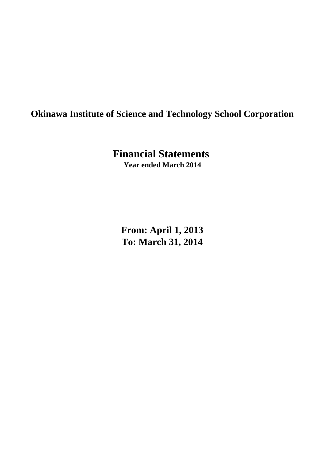## **Okinawa Institute of Science and Technology School Corporation**

**Financial Statements Year ended March 2014**

**From: April 1, 2013 To: March 31, 2014**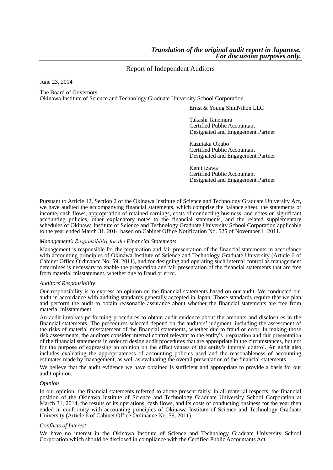## Report of Independent Auditors

June 23, 2014

The Board of Governors

Okinawa Institute of Science and Technology Graduate University School Corporation

Ernst & Young ShinNihon LLC

Takashi Tanemura Certified Public Accountant Designated and Engagement Partner

Kazutaka Okubo Certified Public Accountant Designated and Engagement Partner

Kenji Izawa Certified Public Accountant Designated and Engagement Partner

Pursuant to Article 12, Section 2 of the Okinawa Institute of Science and Technology Graduate University Act, we have audited the accompanying financial statements, which comprise the balance sheet, the statements of income, cash flows, appropriation of retained earnings, costs of conducting business, and notes on significant accounting policies, other explanatory notes to the financial statements, and the related supplementary schedules of Okinawa Institute of Science and Technology Graduate University School Corporation applicable to the year ended March 31, 2014 based on Cabinet Office Notification No. 525 of November 1, 2011.

### *Management's Responsibility for the Financial Statements*

Management is responsible for the preparation and fair presentation of the financial statements in accordance with accounting principles of Okinawa Institute of Science and Technology Graduate University (Article 6 of Cabinet Office Ordinance No. 59, 2011), and for designing and operating such internal control as management determines is necessary to enable the preparation and fair presentation of the financial statements that are free from material misstatement, whether due to fraud or error.

#### *Auditors'Responsibility*

Our responsibility is to express an opinion on the financial statements based on our audit. We conducted our audit in accordance with auditing standards generally accepted in Japan. Those standards require that we plan and perform the audit to obtain reasonable assurance about whether the financial statements are free from material misstatement.

An audit involves performing procedures to obtain audit evidence about the amounts and disclosures in the financial statements. The procedures selected depend on the auditors' judgment, including the assessment of the risks of material misstatement of the financial statements, whether due to fraud or error. In making those risk assessments, the auditors consider internal control relevant to the entity's preparation and fair presentation of the financial statements in order to design audit procedures that are appropriate in the circumstances, but not for the purpose of expressing an opinion on the effectiveness of the entity's internal control. An audit also includes evaluating the appropriateness of accounting policies used and the reasonableness of accounting estimates made by management, as well as evaluating the overall presentation of the financial statements.

We believe that the audit evidence we have obtained is sufficient and appropriate to provide a basis for our audit opinion.

### *Opinion*

In our opinion, the financial statements referred to above present fairly, in all material respects, the financial position of the Okinawa Institute of Science and Technology Graduate University School Corporation at March 31, 2014, the results of its operations, cash flows, and its costs of conducting business for the year then ended in conformity with accounting principles of Okinawa Institute of Science and Technology Graduate University (Article 6 of Cabinet Office Ordinance No. 59, 2011).

#### *Conflicts of Interest*

We have no interest in the Okinawa Institute of Science and Technology Graduate University School Corporation which should be disclosed in compliance with the Certified Public Accountants Act.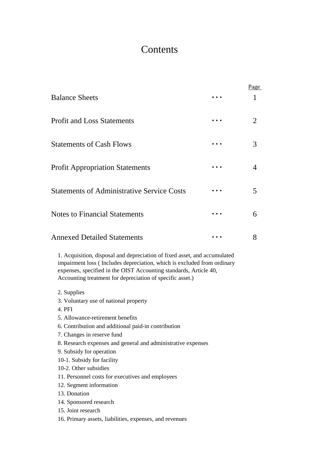# Contents

|                                                                                                                                                                                                                                                                                                                                                                                                                                                                                                                                                      | Page |
|------------------------------------------------------------------------------------------------------------------------------------------------------------------------------------------------------------------------------------------------------------------------------------------------------------------------------------------------------------------------------------------------------------------------------------------------------------------------------------------------------------------------------------------------------|------|
| <b>Balance Sheets</b>                                                                                                                                                                                                                                                                                                                                                                                                                                                                                                                                | 1    |
| <b>Profit and Loss Statements</b>                                                                                                                                                                                                                                                                                                                                                                                                                                                                                                                    | 2    |
| <b>Statements of Cash Flows</b>                                                                                                                                                                                                                                                                                                                                                                                                                                                                                                                      | 3    |
| <b>Profit Appropriation Statements</b>                                                                                                                                                                                                                                                                                                                                                                                                                                                                                                               | 4    |
| <b>Statements of Administrative Service Costs</b>                                                                                                                                                                                                                                                                                                                                                                                                                                                                                                    | 5    |
| <b>Notes to Financial Statements</b>                                                                                                                                                                                                                                                                                                                                                                                                                                                                                                                 | 6    |
| <b>Annexed Detailed Statements</b>                                                                                                                                                                                                                                                                                                                                                                                                                                                                                                                   | 8    |
| 1. Acquisition, disposal and depreciation of fixed asset, and accumulated<br>impairment loss (Includes depreciation, which is excluded from ordinary<br>expenses, specified in the OIST Accounting standards, Article 40,<br>Accounting treatment for depreciation of specific asset.)                                                                                                                                                                                                                                                               |      |
| 2. Supplies<br>3. Voluntary use of national property<br>4. PFI<br>5. Allowance-retirement benefits<br>6. Contribution and additional paid-in contribution<br>7. Changes in reserve fund<br>8. Research expenses and general and administrative expenses<br>9. Subsidy for operation<br>10-1. Subsidy for facility<br>10-2. Other subsidies<br>11. Personnel costs for executives and employees<br>12. Segment information<br>13. Donation<br>14. Sponsored research<br>15. Joint research<br>16. Primary assets, liabilities, expenses, and revenues |      |
|                                                                                                                                                                                                                                                                                                                                                                                                                                                                                                                                                      |      |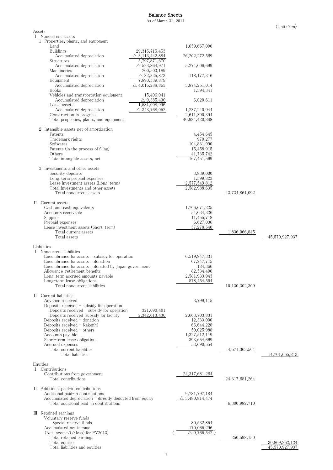## Balance Sheets

As of March 31, 2014

| Assets                                                                                                                |                                        |                   |                |
|-----------------------------------------------------------------------------------------------------------------------|----------------------------------------|-------------------|----------------|
| I Noncurrent assets<br>1 Properties, plants, and equipment                                                            |                                        |                   |                |
| Land                                                                                                                  | 1,659,667,000                          |                   |                |
| <b>Buildings</b><br>29, 315, 715, 453<br>Accumulated depreciation                                                     | 26, 202, 272, 569                      |                   |                |
| $\triangle$ 3,113,442,884<br>5,797,871,670<br>Structures                                                              |                                        |                   |                |
| $\triangle$ 523,864,971<br>Accumulated depreciation<br>200,503,189<br>Machineries                                     | 5,274,006,699                          |                   |                |
| Accumulated depreciation<br>$\triangle$ 82,325,873                                                                    | 118, 177, 316                          |                   |                |
| 7,890,539,879<br>Equipment                                                                                            |                                        |                   |                |
| Accumulated depreciation<br>4,016,288,865<br><b>Books</b>                                                             | 3,874,251,014<br>1,394,341             |                   |                |
| Vehicles and transportation equipment<br>15,406,041<br>Accumulated depreciation                                       | 6,020,611                              |                   |                |
| $\triangle$ 9,385,430<br>1,581,008,996<br>Lease assets                                                                |                                        |                   |                |
| Accumulated depreciation<br>$\triangle$ 343,768,052                                                                   | 1,237,240,944                          |                   |                |
| Construction in progress<br>Total properties, plants, and equipment                                                   | 2,611,390,394<br>40,984,420,888        |                   |                |
| 2 Intangible assets net of amortization                                                                               |                                        |                   |                |
| Patents                                                                                                               | 4,454,645                              |                   |                |
| Trademark rights<br>Softwares                                                                                         | 970,277<br>104,831,990                 |                   |                |
| Patents (in the process of filing)                                                                                    | 15,458,915                             |                   |                |
| Others<br>Total intangible assets, net                                                                                | 41,735,742<br>167,451,569              |                   |                |
|                                                                                                                       |                                        |                   |                |
| 3 Investments and other assets<br>Security deposits                                                                   | 3,839,000                              |                   |                |
| Long-term prepaid expenses                                                                                            | 1,599,823                              |                   |                |
| Lease investment assets (Long-term)<br>Total investments and other assets                                             | 2,577,549,812<br>2,582,988,635         |                   |                |
| Total noncurrent assets                                                                                               |                                        | 43,734,861,092    |                |
| II Current assets                                                                                                     |                                        |                   |                |
| Cash and cash equivalents                                                                                             | 1,706,671,225                          |                   |                |
| Accounts receivable<br>Supplies                                                                                       | 54,034,326<br>11,455,718               |                   |                |
| Prepaid expenses                                                                                                      | 6,627,036                              |                   |                |
| Lease investment assets (Short-term)<br>Total current assets                                                          | 57,278,540                             | 1,836,066,845     |                |
| Total assets                                                                                                          |                                        |                   | 45,570,927,937 |
| Liabilities                                                                                                           |                                        |                   |                |
| I Noncurrent liabilities                                                                                              |                                        |                   |                |
| Encumbrance for assets - subsidy for operation<br>Encumbrance for assets $-$ donation                                 | 6,519,947,331<br>67,247,715            |                   |                |
| Encumbrance for assets $-$ donated by Japan government                                                                | 184,366                                |                   |                |
| Allowance-retirement benefits<br>Long-term accrued amounts payable                                                    | 82,534,400<br>2,581,933,943            |                   |                |
| Long-term lease obligations<br>Total noncurrent liabilities                                                           | 878,454,554                            |                   |                |
|                                                                                                                       |                                        | 10,130,302,309    |                |
| II Current liabilities<br>Advance received                                                                            | 3,799,115                              |                   |                |
| Deposits received $-$ subsidy for operation                                                                           |                                        |                   |                |
| Deposits received $-$ subsidy for operation<br>321,090,401<br>2,342,613,430<br>Deposits received-subsidy for facility | 2,663,703,831                          |                   |                |
| Deposits received - donation                                                                                          | 12,333,000                             |                   |                |
| Deposits received - Kakenhi<br>Deposits received - others                                                             | 66,644,228<br>50,025,988               |                   |                |
| Accounts payable                                                                                                      | 1,327,512,119                          |                   |                |
| Short-term lease obligations<br>Accrued expenses                                                                      | 393,654,669<br>53,690,554              |                   |                |
| Total current liabilities                                                                                             |                                        | 4,571,363,504     |                |
| Total liabilities                                                                                                     |                                        |                   | 14,701,665,813 |
| Equities                                                                                                              |                                        |                   |                |
| I Contributions<br>Contributions from government                                                                      | 24, 317, 681, 264                      |                   |                |
| Total contributions                                                                                                   |                                        | 24, 317, 681, 264 |                |
| II Additional paid-in contributions                                                                                   |                                        |                   |                |
| Additional paid-in contributions                                                                                      | 9,781,797,184                          |                   |                |
| Accumulated depreciation - directly deducted from equity<br>Total additional paid-in contributions                    | $\triangle$ 3,480,814,474              | 6,300,982,710     |                |
|                                                                                                                       |                                        |                   |                |
| <b>III</b> Retained earnings<br>Voluntary reserve funds                                                               |                                        |                   |                |
| Special reserve funds                                                                                                 | 80,532,854                             |                   |                |
| Accumulated net income<br>(Net income/ $(\triangle$ loss) for FY2013)                                                 | 170,065,296<br>$\triangle$ 9,765,542 ) |                   |                |
| Total retained earnings<br>Total equities                                                                             |                                        | 250,598,150       | 30,869,262,124 |
| Total liabilities and equities                                                                                        |                                        |                   | 45,570,927,937 |

1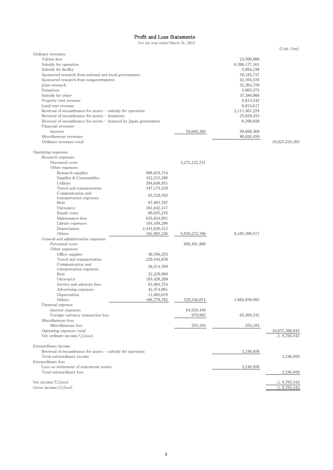## Profit and Loss Statements

For the year ended March 31, 2014

|                                                                     | For the year ended March 31, 2014 |               |                        |                                         |
|---------------------------------------------------------------------|-----------------------------------|---------------|------------------------|-----------------------------------------|
| Ordinary revenues                                                   |                                   |               |                        | (Unit:Yen)                              |
| Tuition fees                                                        |                                   |               | 24,300,000             |                                         |
| Subsidy for operation                                               |                                   |               | 8,308,177,161          |                                         |
| Subsidy for facility                                                |                                   |               | 5,804,230              |                                         |
| Sponsored research from national and local governments              |                                   |               | 76,195,737             |                                         |
| Sponsored research from nongovernments                              |                                   |               | 42,164,576             |                                         |
| Joint research                                                      |                                   |               | 32, 304, 758           |                                         |
| Donations                                                           |                                   |               | 5,003,373              |                                         |
| Subsidy for other                                                   |                                   |               | 37,388,000             |                                         |
| Property rent revenue<br>Land rent revenue                          |                                   |               | 6,014,542<br>6,014,617 |                                         |
| Reversal of encumbrance for assets - subsidy for operation          |                                   |               | 2,111,461,228          |                                         |
| Reversal of encumbrance for assets $-$ donations                    |                                   |               | 25,829,433             |                                         |
| Reversal of encumbrance for assets $-$ donated by Japan government  |                                   |               | 6,390,820              |                                         |
| Financial revenues                                                  |                                   |               |                        |                                         |
| Interest                                                            |                                   | 59,660,369    | 59,660,369             |                                         |
| Miscellaneous revenues                                              |                                   |               | 80,826,459             |                                         |
| Ordinary revenues total                                             |                                   |               |                        | 10,827,535,303                          |
| Operating expenses                                                  |                                   |               |                        |                                         |
| Research expenses                                                   |                                   |               |                        |                                         |
| Personnel costs                                                     |                                   | 3,275,122,731 |                        |                                         |
| Other expenses<br>Research supplies                                 | 696,854,754                       |               |                        |                                         |
| Supplies & Consumables                                              | 432,215,286                       |               |                        |                                         |
| Utilities                                                           | 394,636,931                       |               |                        |                                         |
| Travel and transportation                                           | 347,174,528                       |               |                        |                                         |
| Communication and                                                   | 83,720,703                        |               |                        |                                         |
| transportation expenses                                             |                                   |               |                        |                                         |
| Rent                                                                | 87,803,707                        |               |                        |                                         |
| Outsource<br>Repair costs                                           | 381,642,417<br>60,035,245         |               |                        |                                         |
| Maintenance fees                                                    | 635,824,051                       |               |                        |                                         |
| Library expenses                                                    | 164,458,296                       |               |                        |                                         |
| Depreciation                                                        | 2,444,826,512                     |               |                        |                                         |
| Others                                                              | 101,083,356                       | 5,830,275,786 | 9,105,398,517          |                                         |
| General and administrative expenses                                 |                                   |               |                        |                                         |
| Personnel costs                                                     |                                   | 936,491,908   |                        |                                         |
| Other expenses<br>Office supplies                                   | 40,768,255                        |               |                        |                                         |
| Travel and transportation                                           | 229,444,638                       |               |                        |                                         |
| Communication and                                                   |                                   |               |                        |                                         |
| transportation expenses                                             | 36,514,769                        |               |                        |                                         |
| Rent                                                                | 32,229,988                        |               |                        |                                         |
| Outsource                                                           | 103,426,209                       |               |                        |                                         |
| Service and advisory fees                                           | 63,904,754                        |               |                        |                                         |
| Advertising expenses<br>Depreciation                                | 42,474,001<br>11,805,678          |               |                        |                                         |
| Others                                                              | 168,779,782                       | 729,348,074   | 1,665,839,982          |                                         |
| Financial expense                                                   |                                   |               |                        |                                         |
| interest expenses                                                   |                                   | 64,529,440    |                        |                                         |
| Foreign currency transaction loss                                   |                                   | 979,802       | 65,509,242             |                                         |
| Miscellaneous loss                                                  |                                   |               |                        |                                         |
| Miscellaneous loss                                                  |                                   | 553,104       | 553,104                |                                         |
| Operating expenses total<br>Net ordinary income/ $(\triangle$ loss) |                                   |               |                        | 10,837,300,845<br>$\triangle$ 9,765,542 |
|                                                                     |                                   |               |                        |                                         |
| Extraordinary income                                                |                                   |               |                        |                                         |
| Reversal of encumbrance for assets - subsidy for operation          |                                   |               | 3,246,958              |                                         |
| Total extraordinary income<br>Extraordinary loss                    |                                   |               |                        | 3,246,958                               |
| Loss on retirement of noncurrent assets                             |                                   |               | 3,246,958              |                                         |
| Total extraordinary loss                                            |                                   |               |                        | 3,246,958                               |
| Net income/ $(\triangle$ loss)                                      |                                   |               |                        | $\triangle$ 9,765,542                   |
| Gross income/ $(\triangle$ loss)                                    |                                   |               |                        | $\triangle$ 9,765,542                   |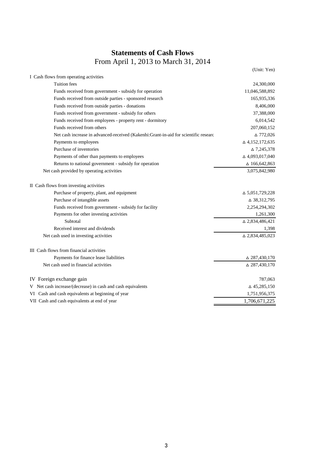## **Statements of Cash Flows** From April 1, 2013 to March 31, 2014

|                                                                                     | (Unit: Yen)               |
|-------------------------------------------------------------------------------------|---------------------------|
| I Cash flows from operating activities                                              |                           |
| Tuition fees                                                                        | 24,300,000                |
| Funds received from government - subsidy for operation                              | 11,046,588,892            |
| Funds received from outside parties - sponsored research                            | 165,935,336               |
| Funds received from outside parties - donations                                     | 8,406,000                 |
| Funds received from government - subsidy for others                                 | 37,388,000                |
| Funds received from employees - property rent - dormitory                           | 6,014,542                 |
| Funds received from others                                                          | 207,060,152               |
| Net cash increase in advanced-received (Kakenhi:Grant-in-aid for scientific researc | $\Delta$ 772,026          |
| Payments to employees                                                               | $\Delta$ 4,152,172,635    |
| Purchase of inventories                                                             | $\Delta$ 7,245,378        |
| Payments of other than payments to employees                                        | △ 4,093,017,040           |
| Returns to national government - subsidy for operation                              | $\Delta$ 166,642,863      |
| Net cash provided by operating activities                                           | 3,075,842,980             |
| II Cash flows from investing activities                                             |                           |
| Purchase of property, plant, and equipment                                          | $\Delta$ 5,051,729,228    |
| Purchase of intangible assets                                                       | △ 38,312,795              |
| Funds received from government - subsidy for facility                               | 2,254,294,302             |
| Payments for other investing activities                                             | 1,261,300                 |
| Subtotal                                                                            | △ 2,834,486,421           |
| Received interest and dividends                                                     | 1,398                     |
| Net cash used in investing activities                                               | $\triangle$ 2,834,485,023 |
| III Cash flows from financial activities                                            |                           |
| Payments for finance lease liabilities                                              | △ 287,430,170             |
| Net cash used in financial activities                                               | $\Delta$ 287,430,170      |
| IV Foreign exchange gain                                                            | 787,063                   |
| V Net cash increase/(decrease) in cash and cash equivalents                         | $\Delta$ 45,285,150       |
| VI Cash and cash equivalents at beginning of year                                   | 1,751,956,375             |
| VII Cash and cash equivalents at end of year                                        | 1,706,671,225             |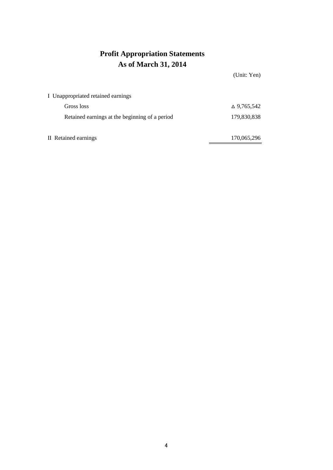## **Profit Appropriation Statements As of March 31, 2014**

|                                                | (Unit: Yen)        |
|------------------------------------------------|--------------------|
| I Unappropriated retained earnings             |                    |
| Gross loss                                     | $\Delta$ 9,765,542 |
| Retained earnings at the beginning of a period | 179,830,838        |
| II Retained earnings                           | 170,065,296        |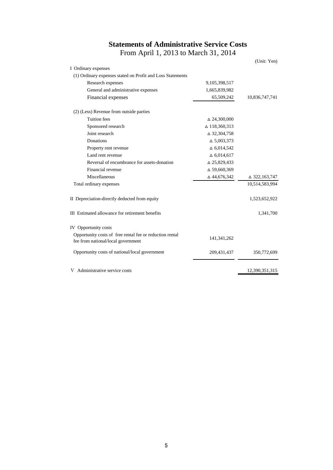## **Statements of Administrative Service Costs** From April 1, 2013 to March 31, 2014

(Unit: Yen)

| I Ordinary expenses                                                                            |                        |                |
|------------------------------------------------------------------------------------------------|------------------------|----------------|
| (1) Ordinary expenses stated on Profit and Loss Statements                                     |                        |                |
| Research expenses                                                                              | 9,105,398,517          |                |
| General and administrative expenses                                                            | 1,665,839,982          |                |
| Financial expenses                                                                             | 65,509,242             | 10,836,747,741 |
| (2) (Less) Revenue from outside parties                                                        |                        |                |
| <b>Tuition</b> fees                                                                            | $\triangle$ 24,300,000 |                |
| Sponsored research                                                                             | $\Delta$ 118,360,313   |                |
| Joint research                                                                                 | △ 32,304,758           |                |
| Donations                                                                                      | $\Delta$ 5,003,373     |                |
| Property rent revenue                                                                          | $\Delta$ 6,014,542     |                |
| Land rent revenue                                                                              | $\Delta$ 6,014,617     |                |
| Reversal of encumbrance for assets-donation                                                    | △ 25,829,433           |                |
| Financial revenue                                                                              | △ 59,660,369           |                |
| Miscellaneous                                                                                  | $\Delta$ 44,676,342    | △ 322,163,747  |
| Total ordinary expenses                                                                        |                        | 10,514,583,994 |
| II Depreciation-directly deducted from equity                                                  |                        | 1,523,652,922  |
| III Estimated allowance for retirement benefits                                                |                        | 1,341,700      |
| <b>IV</b> Opportunity costs                                                                    |                        |                |
| Opportunity costs of free rental fee or reduction rental<br>fee from national/local government | 141, 341, 262          |                |
| Opportunity costs of national/local government                                                 | 209,431,437            | 350,772,699    |
| V Administrative service costs                                                                 |                        | 12,390,351,315 |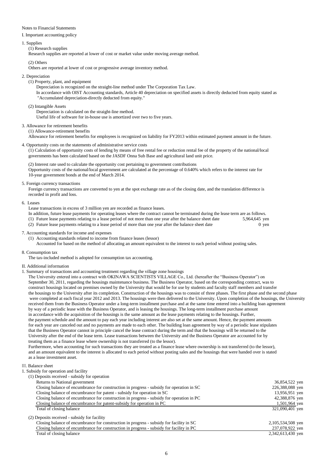#### Notes to Financial Statements

I. Important accounting policy

#### 1. Supplies

(1) Research supplies

Research supplies are reported at lower of cost or market value under moving average method.

(2) Others

Others are reported at lower of cost or progressive average inventory method.

#### 2. Depreciation

(1) Property, plant, and equipment

Depreciation is recognized on the straight-line method under The Corporation Tax Law.

In accordance with OIST Accounting standards, Article 40 depreciation on specified assets is directly deducted from equity stated as "Accumulated depreciation-directly deducted from equity."

(2) Intangible Assets

Depreciation is calculated on the straight-line method. Useful life of software for in-house use is amortized over two to five years.

#### 3. Allowance for retirement benefits

(1) Allowance-retirement benefits

Allowance for retirement benefits for employees is recognized on liability for FY2013 within estimated payment amount in the future.

4. Opportunity costs on the statements of administrative service costs

 $(1)$  Calculation of opportunity costs of lending by means of free rental fee or reduction rental fee of the property of the national/local governments has been calculated based on the JASDF Onna Sub Base and agricultural land unit price.

(2) Interest rate used to calculate the opportunity cost pertaining to government contributions

Opportunity costs of the national/local government are calculated at the percentage of 0.640% which refers to the interest rate for 10-year government bonds at the end of March 2014.

5. Foreign currency transactions

Foreign currency transactions are converted to yen at the spot exchange rate as of the closing date, and the translation difference is recorded in profit and loss.

#### 6. Leases

Lease transactions in excess of 3 million yen are recorded as finance leases.

- In addition, future lease payments for operating leases where the contract cannot be terminated during the lease term are as follows.
- (1) Future lease payments relating to a lease period of not more than one year after the balance sheet date 5,964,645 yen<br>(2) Future lease payments relating to a lease period of more than one year after the balance sheet d
- (2) Future lease payments relating to a lease period of more than one year after the balance sheet date

#### 7. Accounting standards for income and expenses

(1) Accounting standards related to income from finance leases (lessor)

Accounted for based on the method of allocating an amount equivalent to the interest to each period without posting sales.

#### 8. Consumption tax

The tax-included method is adopted for consumption tax accounting.

- II. Additional information
- 1. Summary of transactions and accounting treatment regarding the village zone housings

The University entered into a contract with OKINAWA SCIENTISTS VILLAGE Co., Ltd. (hereafter the "Business Operator") on September 30, 2011, regarding the housings maintenance business. The Business Operator, based on the corresponding contract, was to construct housings located on premises owned by the University that would be for use by students and faculty staff members and transfer the housings to the University after its completion. Construction of the housings was to consist of three phases. The first phase and the second phase were completed at each fiscal year 2012 and 2013. The housings were then delivered to the University. Upon completion of the housings, the University received them from the Business Operator under a long-term installment purchase and at the same time entered into a building loan agreement by way of a periodic lease with the Business Operator, and is leasing the housings. The long-term installment purchase amount in accordance with the acquisition of the housings is the same amount as the lease payments relating to the housings. Further, the payment schedule and the amount to pay each year including interest are also set at the same amount. Hence, the payment amounts for each year are canceled out and no payments are made to each other. The building loan agreement by way of a periodic lease stipulates that the Business Operator cannot in principle cancel the lease contract during the term and that the housings will be returned to the University after the end of the lease term. Lease transactions between the University and the Business Operator are accounted for by treating them as a finance lease where ownership is not transferred (to the lessor).

Furthermore, when accounting for such transactions they are treated as a finance lease where ownership is not transferred (to the lessor), and an amount equivalent to the interest is allocated to each period without posting sales and the housings that were handed over is stated as a lease investment asset.

#### III. Balance sheet

1. Subsidy for operation and facility

| (1) Deposits received - subsidy for operation                                             |                   |
|-------------------------------------------------------------------------------------------|-------------------|
| Returns to National government                                                            | 36,854,522 yen    |
| Closing balance of encumbrance for construction in progress - subsidy for operation in SC | 226,388,088 yen   |
| Closing balance of encumbrance for patent - subsidy for operation in SC                   | 13,956,951 ven    |
| Closing balance of encumbrance for construction in progress - subsidy for operation in PC | 42,388,876 yen    |
| Closing balance of encumbrance for patent-subsidy for operation in PC                     | 1,501,964 yen     |
| Total of closing balance                                                                  | 321,090,401 yen   |
| (2) Deposits received - subsidy for facility                                              |                   |
| Closing balance of encumbrance for construction in progress - subsidy for facility in SC  | 2,105,534,508 yen |
| Closing balance of encumbrance for construction in progress - subsidy for facility in PC  | 237,078,922 yen   |
| Total of closing balance                                                                  | 2,342,613,430 yen |
|                                                                                           |                   |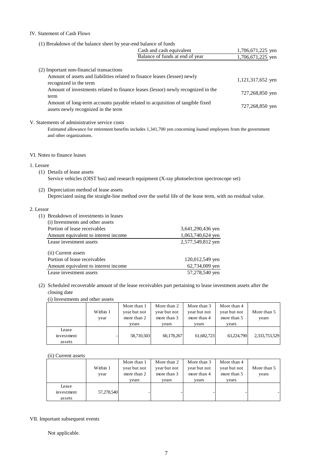## IV. Statement of Cash Flows

(1) Breakdown of the balance sheet by year-end balance of funds

|           | (1) DICARDOWII OI THE DATAILLE SHEET DY YEAH-CHU DATAILLE OI TUNUS            |                                                                                                                    |                   |
|-----------|-------------------------------------------------------------------------------|--------------------------------------------------------------------------------------------------------------------|-------------------|
|           |                                                                               | Cash and cash equivalent                                                                                           | 1,706,671,225 yen |
|           |                                                                               | Balance of funds at end of year                                                                                    | 1,706,671,225 yen |
|           |                                                                               |                                                                                                                    |                   |
|           | (2) Important non-financial transactions                                      |                                                                                                                    |                   |
|           | Amount of assets and liabilities related to finance leases (lessee) newly     |                                                                                                                    | 1,121,317,652 yen |
|           | recognized in the term                                                        |                                                                                                                    |                   |
|           |                                                                               | Amount of investments related to finance leases (lessor) newly recognized in the                                   | 727,268,850 yen   |
|           | term                                                                          |                                                                                                                    |                   |
|           | Amount of long-term accounts payable related to acquisition of tangible fixed |                                                                                                                    | 727,268,850 yen   |
|           | assets newly recognized in the term                                           |                                                                                                                    |                   |
|           | V. Statements of administrative service costs                                 |                                                                                                                    |                   |
|           |                                                                               | Estimated allowance for retirement benefits includes 1,341,700 yen concerning loaned employees from the government |                   |
|           | and other organizations.                                                      |                                                                                                                    |                   |
|           |                                                                               |                                                                                                                    |                   |
|           |                                                                               |                                                                                                                    |                   |
|           | VI. Notes to finance leases                                                   |                                                                                                                    |                   |
| 1. Lessee |                                                                               |                                                                                                                    |                   |
|           | (1) Details of lease assets                                                   |                                                                                                                    |                   |
|           |                                                                               | Service vehicles (OIST bus) and research equipment (X-ray photoelectron spectroscope set)                          |                   |
|           |                                                                               |                                                                                                                    |                   |
|           | (2) Depreciation method of lease assets                                       |                                                                                                                    |                   |
|           |                                                                               | Depreciated using the straight-line method over the useful life of the lease term, with no residual value.         |                   |
| 2. Lessor |                                                                               |                                                                                                                    |                   |
|           | (1) Breakdown of investments in leases                                        |                                                                                                                    |                   |
|           | (i) Investments and other assets                                              |                                                                                                                    |                   |
|           | Portion of lease receivables                                                  | 3,641,290,436 yen                                                                                                  |                   |
|           | Amount equivalent to interest income                                          | 1,063,740,624 yen                                                                                                  |                   |
|           | Lease investment assets                                                       | 2,577,549,812 yen                                                                                                  |                   |
|           |                                                                               |                                                                                                                    |                   |
|           | (ii) Current assets                                                           |                                                                                                                    |                   |
|           | Portion of lease receivables                                                  | 120,012,549 yen                                                                                                    |                   |
|           | Amount equivalent to interest income                                          | 62,734,009 yen                                                                                                     |                   |
|           | Lease investment assets                                                       | 57,278,540 yen                                                                                                     |                   |

(2) Scheduled recoverable amount of the lease receivables part pertaining to lease investment assets after the closing date

(i) Investments and other assets

|                               |          | More than 1  | More than 2  | More than 3  | More than 4  |               |
|-------------------------------|----------|--------------|--------------|--------------|--------------|---------------|
|                               | Within 1 | year but not | year but not | year but not | year but not | More than 5   |
|                               | vear     | more than 2  | more than 3  | more than 4  | more than 5  | years         |
|                               |          | years        | years        | years        | years        |               |
| Lease<br>investment<br>assets |          | 58,710,503   | 60,178,267   | 61,682,723   | 63,224,790   | 2,333,753,529 |

(ii) Current assets

|            |            | More than 1  | More than 2  | More than 3  | More than 4  |             |
|------------|------------|--------------|--------------|--------------|--------------|-------------|
|            | Within 1   | year but not | year but not | year but not | year but not | More than 5 |
|            | vear       | more than 2  | more than 3  | more than 4  | more than 5  | years       |
|            |            | vears        | years        | vears        | years        |             |
| Lease      |            |              |              |              |              |             |
| investment | 57,278,540 |              |              |              |              |             |
| assets     |            |              |              |              |              |             |

## VII. Important subsequent events

Not applicable.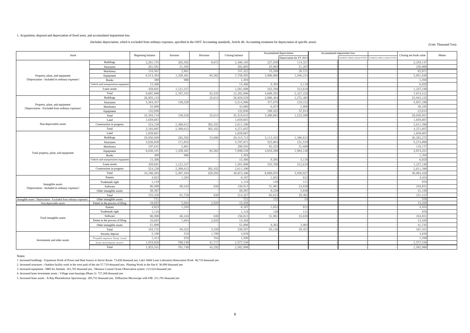#### 1. Acquisition, disposal and depreciation of fixed asset, and accumulated impairment loss

(Includes depreciation, which is excluded from ordinary expenses, specified in the OIST Accounting standards, Article 40, Accounting treatment for depreciation of specific asset).

(Unit: Thousand Yen)

|                                                                    |                                      | Beginning balance |           |          | Closing balance | Accumulated depreciation |                         | Accumulated impairment loss |                                      |                                     |                        |      |
|--------------------------------------------------------------------|--------------------------------------|-------------------|-----------|----------|-----------------|--------------------------|-------------------------|-----------------------------|--------------------------------------|-------------------------------------|------------------------|------|
| Asset                                                              |                                      |                   | Increase  | Decrease |                 |                          | Depreciation for FY 201 |                             | Included in ordinary expenses FY2013 | Excluded in ordinary expenses FY201 | Closing net book value | Memo |
|                                                                    | <b>Buildings</b>                     | 2,201,758         | 292,502   | 8,072    | 2,486,185       | 227,038                  | 114,327                 |                             |                                      |                                     | 2,259,147              |      |
|                                                                    | Structures                           | 261,581           | 21,303    |          | 282,88          | 45,985                   | 21,207                  |                             |                                      |                                     | 236,900                |      |
|                                                                    | Machinery                            | 154,56            | 2,861     |          | 157,42          | 75,350                   | 28,721                  |                             |                                      |                                     | 82,071                 |      |
| Property, plant, and equipment                                     | Equipment                            | 6,514,40          | 1,328,461 | 84,362   | 7,758,503       | 3,906,866                | 1,946,234               |                             |                                      |                                     | 3,851,63               |      |
| (Depreciation - Included in ordinary expenses)                     | <b>Books</b>                         | 488               | 906       |          | 1.394           |                          |                         |                             |                                      |                                     | 1.394                  |      |
|                                                                    | Vehicle and transportation equipment | 15,406            |           |          | 15,406          | 9,385                    | 4,118                   |                             |                                      |                                     | 6,020                  |      |
|                                                                    | Lease assets                         | 459,69            | 1.121.317 |          | 1,581,008       | 343,768                  | 312,619                 |                             |                                      |                                     | 1,237,240              |      |
|                                                                    | Total                                | 9,607,888         | 2,767,35  | 92,43    | 12,282,806      | 4,608,393                | 2,427,229               |                             |                                      |                                     | 7,674,41               |      |
|                                                                    | <b>Buildings</b>                     | 26,855,14         |           | 25.61    | 26,829,52       | 2,886,40                 | 1,272,48                |                             |                                      |                                     | 23,943,12              |      |
|                                                                    | Structures                           | 5,364,45          | 150,528   |          | 5,514,986       | 477,879                  | 210,31                  |                             |                                      |                                     | 5,037,106              |      |
| Property, plant, and equipment                                     | Machinery                            | 43,080            |           |          | 43,080          | 6,97                     | 2,886                   |                             |                                      |                                     | 36,10                  |      |
| (Depreciation - Excluded from ordinary expenses)                   | Equipment                            | 132,03            |           |          | 132,036         | 109,422                  | 37,914                  |                             |                                      |                                     | 22,614                 |      |
|                                                                    | Total                                | 32,394,71         | 150,528   | 25.614   | 32,519,63       | 3,480,682                | 1,523,598               |                             |                                      |                                     | 29,038,951             |      |
|                                                                    | Land                                 | 1,659,66          |           |          | 1,659,667       |                          |                         |                             |                                      |                                     | 1,659,667              |      |
| Non-depreciable assets                                             | Construction in progress             | 524,23            | 2.389.61  | 302,45   | 2,611,390       |                          |                         |                             |                                      |                                     | 2,611,390              |      |
|                                                                    | Total                                | 2,183,89          | 2,389,61  | 302,45   | 4,271,057       |                          |                         |                             |                                      |                                     | 4,271,05               |      |
|                                                                    | Land                                 | 1,659,66          |           |          | 1,659,667       |                          |                         |                             |                                      |                                     | 1,659,667              |      |
|                                                                    | <b>Buildings</b>                     | 29,056,89         | 292,502   | 33,680   | 29,315,71       | 3,113,442                | 1,386,81                |                             |                                      |                                     | 26,202,27              |      |
|                                                                    | Structures                           | 5,626,03          | 171,832   |          | 5,797,87        | 523,864                  | 231,519                 |                             |                                      |                                     | 5,274,006              |      |
|                                                                    | Machinery                            | 197,64            | 2,861     |          | 200,503         | 82,32                    | 31,608                  |                             |                                      |                                     | 118,17                 |      |
|                                                                    | Equipment                            | 6,646,44          | 1,328,46  | 84,362   | 7,890,53        | 4,016,288                | 1,984,14                |                             |                                      |                                     | 3,874,251              |      |
| Total property, plant, and equipment                               | <b>Books</b>                         | 488               | 906       |          | 1,394           |                          |                         |                             |                                      |                                     | 1.394                  |      |
|                                                                    | Vehicle and transportation equipment | 15,406            |           |          | 15,406          | 9,385                    | 4,118                   |                             |                                      |                                     | 6,020                  |      |
|                                                                    | Lease assets                         | 459,691           | 1,121,31  |          | 1,581,008       | 343,768                  | 312,619                 |                             |                                      |                                     | 1,237,240              |      |
|                                                                    | Construction in progress             | 524,23            | 2,389,61  | 302,45   | 2,611,390       |                          |                         |                             |                                      |                                     | 2,611,390              |      |
|                                                                    | Total                                | 44,186,50         | 5,307,494 | 420,503  | 49,073,496      | 8,089,076                | 3,950,827               |                             |                                      |                                     | 40,984,420             |      |
|                                                                    | Patents                              | 4,82              | 1,284     |          | 6,107           | 1,652                    | 812                     |                             |                                      |                                     | 4,454                  |      |
|                                                                    | Trademark right                      | 1,119             |           |          | 1,119           | 149                      | 111                     |                             |                                      |                                     | 970                    |      |
| Intangible assets                                                  | Software                             | 96,998            | 60,444    | 630      | 156,81          | 51,981                   | 24,630                  |                             |                                      |                                     | 104,831                |      |
| (Depreciation - Included in ordinary expenses)                     | Other intangible assets              | 50,38             |           |          | 50,387          | 9,230                    | 3,848                   |                             |                                      |                                     | 41,156                 |      |
|                                                                    | Total                                | 153,328           | 61,729    | 630      | 214,427         | 63,013                   | 29,40                   |                             |                                      |                                     | 151,41                 |      |
| Intangible assets (Depreciation - Excluded from ordinary expenses) | Other intangible assets              | 71                |           |          | 711             | 132                      | -5.                     |                             |                                      |                                     | 578                    |      |
| Non-depreciable assets                                             | Patent in the process of filing      | 10.69:            | 7.694     | 2,929    | 15,458          |                          |                         |                             |                                      |                                     | 15,458                 |      |
|                                                                    | Patents                              | 4,823             | 1,284     |          | 6,107           | 1,652                    | 812                     |                             |                                      |                                     | 4,454                  |      |
|                                                                    | Trademark right                      | 1,11              |           |          | 1,119           | 149                      | 111                     |                             |                                      |                                     | 970                    |      |
| Total intangible assets                                            | Software                             | 96,998            | 60,444    | 630      | 156,81          | 51,981                   | 24,630                  |                             |                                      |                                     | 104,831                |      |
|                                                                    | Patent in the process of filing      | 10,693            | 7,694     | 2,929    | 15,458          |                          |                         |                             |                                      |                                     | 15,458                 |      |
|                                                                    | Other intangible assets              | 51,098            |           |          | 51,098          | 9,362                    | 3,903                   |                             |                                      |                                     | 41,73                  |      |
|                                                                    | Total                                | 164,73            | 69.423    | 3,559    | 230,597         | 63,146                   | 29,457                  |                             |                                      |                                     | 167,451                |      |
|                                                                    | Security deposit                     | 5,100             | 519       | 1,780    | 3,839           |                          |                         |                             |                                      |                                     | 3,839                  |      |
| Investments and other assets                                       | Prepaid expense (long-term)          | 1,41              | 979       | 794      | 1,599           |                          |                         |                             |                                      |                                     | 1,599                  |      |
|                                                                    | lease investment assets              | 1,919,02          | 700,240   | 41,717   | 2,577,549       |                          |                         |                             |                                      |                                     | 2,577,549              |      |
|                                                                    | Total                                | 1,925,54          | 701,740   | 44,292   | 2,582,988       |                          |                         |                             |                                      |                                     | 2,582,988              |      |

Notes:

1. Increased buildings : Expansion Work of Power and Heat Source in Server Room 73,458 thousand yen, Lab2 A666 Laser Laboratory Renovation Work 46,716 thousand yen

2. Increased structures : Outdoor facility work in the west park of the site 57,719 thousand yen, Planting Work in the Site 8 36,099 thousand yen

3. Increased equipment : MRI for Animals 261,765 thousand yen, Okinawa Coastal Ocean Observation system 213,524 thousand yen

4. Increased lease investment assets : Village zone housings (Phase 2) 727,268 thousand yen

5. Increased lease assets : X-Ray Photoelectron Spectroscopy 285,752 thousand yen, Diffraction Microscope with FIB 211,795 thousand yen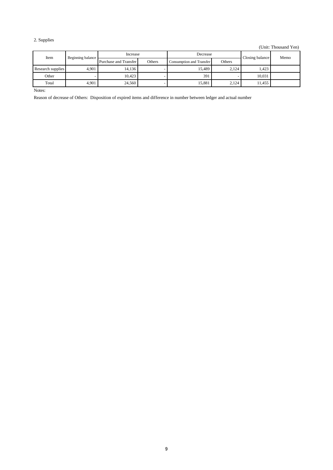## 2. Supplies

(Unit: Thousand Yen)

| Item<br>Beginning balance |       | Increase              |        | Decrease                           |       | Closing balance | Memo |
|---------------------------|-------|-----------------------|--------|------------------------------------|-------|-----------------|------|
|                           |       | Purchase and Transfer | Others | Others<br>Consumption and Transfer |       |                 |      |
| Research supplies         | 4.901 | 14,136                |        | 15.489                             | 2,124 | 1,423           |      |
| Other                     |       | 10.423                |        | 391                                |       | 10.031          |      |
| Total                     | 4,901 | 24,560                |        | 15.881                             | 2.124 | 11,455          |      |

Notes:

Reason of decrease of Others: Disposition of expired items and difference in number between ledger and actual number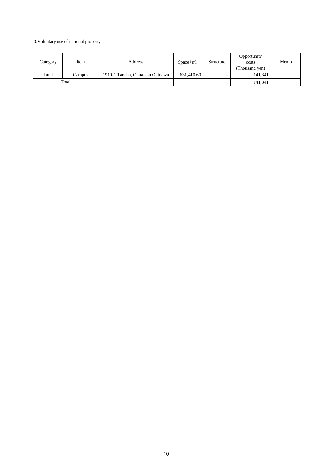## 3.Voluntary use of national property

| Category | Item   | Address                         | $Space(m^2)$ | Structure | Opportunity<br>costs<br>(Thousand yen) | Memo |
|----------|--------|---------------------------------|--------------|-----------|----------------------------------------|------|
| Land     | Campus | 1919-1 Tancha, Onna-son Okinawa | 631.410.60   |           | 141,341                                |      |
|          | Total  |                                 |              |           | 141,341                                |      |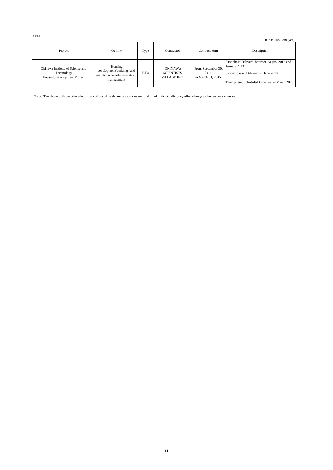4.PFI

|                                                                               |                                                                                    |            |                                                            |                                                 | (Unit: Thousand yen)                                                                                                                                    |
|-------------------------------------------------------------------------------|------------------------------------------------------------------------------------|------------|------------------------------------------------------------|-------------------------------------------------|---------------------------------------------------------------------------------------------------------------------------------------------------------|
| Project                                                                       | Outline                                                                            | Type       | Contractor                                                 | Contract term                                   | Description                                                                                                                                             |
| Okinawa Institute of Science and<br>Technology<br>Housing Development Project | Housing<br>development(building) and<br>maintenance, administration.<br>management | <b>BTO</b> | <b>OKINAWA</b><br><b>SCIENTISTS</b><br><b>VILLAGE INC.</b> | From September 30,<br>2011<br>to March 31, 2045 | First phase: Deliverd between August 2012 and<br>January 2013<br>Second phase: Deliverd in June 2013<br>Third phase: Scheduled to deliver in March 2015 |

Notes: The above delivery schedules are stated based on the most recent memorandum of understanding regarding change to the business contract.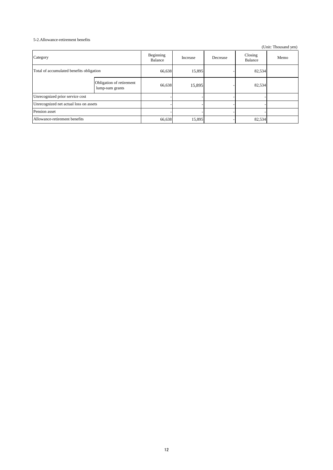### 5-2.Allowance-retirement benefits

(Unit: Thousand yen)

| Category                                 |                                             | Beginning<br>Balance | Increase | Decrease | Closing<br>Balance | Memo |
|------------------------------------------|---------------------------------------------|----------------------|----------|----------|--------------------|------|
| Total of accumulated benefits obligation |                                             | 66,638               | 15,895   |          | 82,534             |      |
|                                          | Obligation of retirement<br>lump-sum grants | 66,638               | 15,895   |          | 82,534             |      |
| Unrecognized prior service cost          |                                             |                      |          |          |                    |      |
| Unrecognized net actual loss on assets   |                                             |                      |          |          |                    |      |
| Pension asset                            |                                             |                      |          |          |                    |      |
| Allowance-retirement benefits            |                                             | 66,638               | 15,895   |          | 82,534             |      |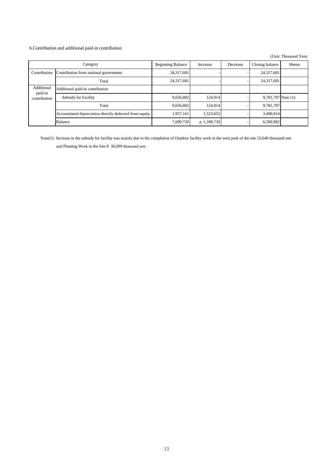### 6.Contribution and additional paid-in contribution

(Unit: Thousand Yen)

|                       | Category                                               | <b>Beginning Balance</b> | Increase           | Decrease | Closing balance    | Memo |
|-----------------------|--------------------------------------------------------|--------------------------|--------------------|----------|--------------------|------|
| Contribution          | Contribution from national government                  | 24,317,681               |                    |          | 24,317,681         |      |
|                       | Total                                                  | 24,317,681               |                    |          | 24,317,681         |      |
| Additional<br>paid-in | Additional paid-in contribution                        |                          |                    |          |                    |      |
| contribution          | Subsidy for Facility                                   | 9,656,882                | 124.914            |          | 9,781,797 Note (1) |      |
|                       | Total                                                  | 9,656,882                | 124.914            |          | 9,781,797          |      |
|                       | Accumulated depreciation directly deducted from equity | 1,957,161                | 1,523,652          |          | 3,480,814          |      |
|                       | Balance                                                | 7,699,720                | $\Delta$ 1,398,739 |          | 6,300,982          |      |

Note(1): Increase in the subsidy for facility was mainly due to the completion of Outdoor facility work in the west park of the site 53,640 thousand yen and Planting Work in the Site 8 36,099 thousand yen.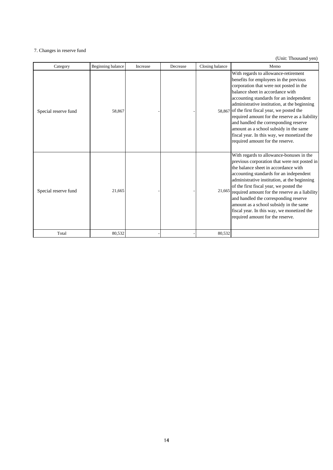## 7. Changes in reserve fund

(Unit: Thousand yen)

| Category             | Beginning balance | Increase | Decrease | Closing balance | Memo                                                                                                                                                                                                                                                                                                                                                                                                                                                                                                                              |
|----------------------|-------------------|----------|----------|-----------------|-----------------------------------------------------------------------------------------------------------------------------------------------------------------------------------------------------------------------------------------------------------------------------------------------------------------------------------------------------------------------------------------------------------------------------------------------------------------------------------------------------------------------------------|
| Special reserve fund | 58,867            |          |          |                 | With regards to allowance-retirement<br>benefits for employees in the previous<br>corporation that were not posted in the<br>balance sheet in accordance with<br>accounting standards for an independent<br>administrative institution, at the beginning<br>58,867 of the first fiscal year, we posted the<br>required amount for the reserve as a liability<br>and handled the corresponding reserve<br>amount as a school subsidy in the same<br>fiscal year. In this way, we monetized the<br>required amount for the reserve. |
| Special reserve fund | 21,665            |          |          |                 | With regards to allowance-bonuses in the<br>previous corporation that were not posted in<br>the balance sheet in accordance with<br>accounting standards for an independent<br>administrative institution, at the beginning<br>of the first fiscal year, we posted the<br>$21,665$ required amount for the reserve as a liability<br>and handled the corresponding reserve<br>amount as a school subsidy in the same<br>fiscal year. In this way, we monetized the<br>required amount for the reserve.                            |
| Total                | 80,532            |          |          | 80,532          |                                                                                                                                                                                                                                                                                                                                                                                                                                                                                                                                   |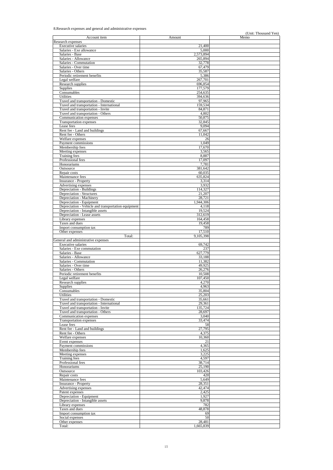#### 8.Research expenses and general and administrative expenses

(Unit: Thousand Yen)

| Account item                                                                    | Amount             | Memo |
|---------------------------------------------------------------------------------|--------------------|------|
| Research expenses                                                               |                    |      |
| Executive salaries                                                              | 21,400             |      |
| Salaries - Exe allowance                                                        | 5,000              |      |
| Salaries - Base                                                                 | 2,573,894          |      |
| Salaries - Allowance                                                            | 265,894            |      |
| Salaries - Commutation                                                          | 32,778             |      |
| Salaries - Over time                                                            | 67,479             |      |
| Salaries - Others                                                               | 35,587             |      |
| Periodic retirement benefits                                                    | 5,386              |      |
| Legal welfare                                                                   | 267,701            |      |
| Research supplies<br>Supplies                                                   | 696,854<br>177,579 |      |
| Consumables                                                                     | 254,635            |      |
| Utilities                                                                       | 394,636            |      |
| Travel and transportation - Domestic                                            | 97,965             |      |
| Travel and transportation - International                                       | 159,534            |      |
| Travel and transportation - Invite                                              | 84,871             |      |
| Travel and transportation - Others                                              | 4,802              |      |
| Communication expenses                                                          | 50,875             |      |
| Transportation expenses                                                         | 32,845             |      |
| Lease fees                                                                      | 9,094              |      |
| Rent fee - Land and buildings                                                   | 67,667             |      |
| Rent fee - Others                                                               | 11,042             |      |
| Welfare expenses                                                                | 26                 |      |
| Payment commissions                                                             | 1,049              |      |
| Membership fees                                                                 | 17,670             |      |
| Meeting expenses                                                                | 3,565              |      |
| Training fees                                                                   | 8,887              |      |
| Professional fees                                                               | 17,097             |      |
| Honorariums                                                                     | 7,781              |      |
| Outsource                                                                       | 381,642            |      |
| Repair costs                                                                    | 60,035             |      |
| Maintenance fees                                                                | 635,824            |      |
| <b>Insurance - Property</b>                                                     | 3,314              |      |
| Advertising expenses                                                            | 3,932              |      |
| Depreciation - Buildings                                                        | 114,327            |      |
| Depreciation - Structures                                                       | 21,207             |      |
| Depreciation - Machinery                                                        | 28,721             |      |
| Depreciation - Equipment<br>Depreciation - Vehicle and transportation equipment | 1,944,306<br>4,118 |      |
| Depreciation - Intangible assets                                                | 19,524             |      |
| Depreciation - Lease assets                                                     | 312,619            |      |
| Library expenses                                                                | 164,458            |      |
| Taxes and dues                                                                  | 19,458             |      |
| Import consumption tax                                                          | 789                |      |
| Other expenses                                                                  | 17,510             |      |
|                                                                                 |                    |      |
| Total:                                                                          | 9,105,398          |      |
| General and administrative expenses                                             |                    |      |
| Executive salaries                                                              | 69,742             |      |
| Salaries - Exe commutation                                                      | 237                |      |
| Salaries - Base                                                                 | 627,779            |      |
| Salaries - Allowance                                                            | 33,188             |      |
| Salaries - Commutation                                                          | 11,382             |      |
| Salaries - Over time                                                            | 49,925             |      |
| Salaries - Others                                                               | 26,276             |      |
| Periodic retirement benefits                                                    | 10,508             |      |
| Legal welfare                                                                   | 107,450            |      |
| Research supplies                                                               | 4,270              |      |
| <b>Supplies</b>                                                                 | 4,963              |      |
| Consumables                                                                     | 35,804             |      |
| Utilities                                                                       | 25,203             |      |
| Travel and transportation - Domestic                                            | 35,661             |      |
| Travel and transportation - International                                       | 29,361             |      |
| Travel and transportation - Invite                                              | 135,724            |      |
| Travel and transportation - Others<br>Communication expenses                    | 28,697<br>3,040    |      |
| <b>Transportation</b> expenses                                                  | 33,474             |      |
| Lease fees                                                                      | 58                 |      |
| Rent fee - Land and buildings                                                   | 27,795             |      |
| Rent fee - Others                                                               | 4,375              |      |
| Welfare expenses                                                                | 10,360             |      |
| Event expenses                                                                  | 21                 |      |
| Payment commissions                                                             | 4,365              |      |
| Membership fees                                                                 | 1,625              |      |
| Meeting expenses                                                                | 3,225              |      |
| Training fees                                                                   | 4,597              |      |
| Professional fees                                                               | 38,714             |      |
| Honorariums                                                                     | 25,190             |      |
| Outsource                                                                       | 103,426            |      |
| Repair costs                                                                    | 420                |      |
| Maintenance fees                                                                | 5,649              |      |
| <b>Insurance - Property</b>                                                     | 28,351             |      |
| Advertising expenses                                                            | 42,474             |      |
| Patent expenses                                                                 | 2,425              |      |
| Depreciation - Equipment                                                        | 1,927              |      |
| Depreciation - Intangible assets                                                | 9,878              |      |
| Library expenses                                                                | 782                |      |
| Taxes and dues<br>Import consumption tax                                        | 48,878<br>69       |      |
| Social expenses                                                                 | 50                 |      |
| Other expenses                                                                  | 28,481             |      |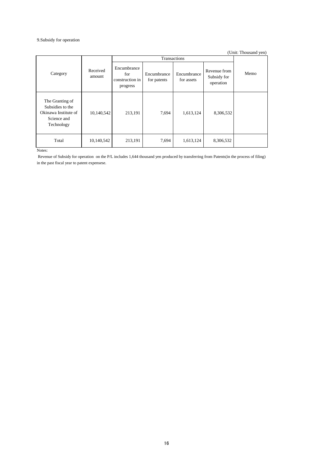## 9.Subsidy for operation

(Unit: Thousand yen) Encumbrance for construction in progress Encumbrance for patents Encumbrance for assets Revenue from Subsidy for operation 10,140,542 213,191 7,694 1,613,124 8,306,532 10,140,542 213,191 7,694 1,613,124 8,306,532 Total Category Received amount **Transactions** Memo The Granting of Subsidies to the Okinawa Institute of Science and Technology

Notes:

 Revenue of Subsidy for operation on the P/L includes 1,644 thousand yen produced by transferring from Patents(in the process of filing) in the past fiscal year to patent expensese.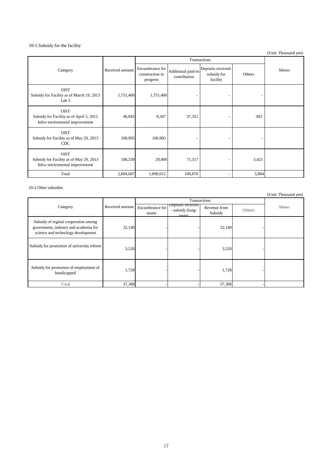### 10-1.Subsidy for the facility

### (Unit: Thousand yen)

|                                                                                             |                 |                                                | Transactions                       |                                               |        |      |  |  |
|---------------------------------------------------------------------------------------------|-----------------|------------------------------------------------|------------------------------------|-----------------------------------------------|--------|------|--|--|
| Category                                                                                    | Received amount | Encumbrance for<br>construction in<br>progress | Additional paid-in<br>contribution | Deposits received-<br>subsidy for<br>facility | Others | Memo |  |  |
| <b>OIST</b><br>Subsidy for Facility as of March 19, 2013<br>Lab 3                           | 1,751,400       | 1,751,400                                      |                                    |                                               |        |      |  |  |
| <b>OIST</b><br>Subsidy for Facility as of April 5, 2012<br>Infra · enviromental improvement | 46,043          | 8,307                                          | 37,352                             |                                               | 383    |      |  |  |
| <b>OIST</b><br>Subsidy for Facility as of May 29, 2013<br>CDC                               | 100,905         | 100,905                                        |                                    |                                               |        |      |  |  |
| <b>OIST</b><br>Subsidy for Facility as of May 29, 2013<br>Infra • enviromental improvement  | 106,339         | 29,400                                         | 71,517                             |                                               | 5,421  |      |  |  |
| Total                                                                                       | 2,004,687       | 1,890,012                                      | 108,870                            | $\overline{\phantom{a}}$                      | 5,804  |      |  |  |

#### 10-2 Other subsidies

|                                                                                                                     |                 |                           |                                                |                         |        | (Unit: Thousand yen) |  |
|---------------------------------------------------------------------------------------------------------------------|-----------------|---------------------------|------------------------------------------------|-------------------------|--------|----------------------|--|
|                                                                                                                     |                 |                           | Transactions                                   |                         |        |                      |  |
| Category                                                                                                            | Received amount | Encumbrance for<br>assets | Deposits received<br>- subsidy (long-<br>term) | Revenue from<br>Subsidy | Others | Memo                 |  |
| Subsidy of reginal cooperation among<br>government, industry and academia for<br>science and technology development | 32,140          |                           |                                                | 32,140                  |        |                      |  |
| Subsidy for promotion of university reform                                                                          | 3,520           |                           |                                                | 3,520                   |        |                      |  |
| Subsidy for promotion of employment of<br>handicapped                                                               | 1,728           |                           |                                                | 1,728                   |        |                      |  |
| Total                                                                                                               | 37,388          |                           |                                                | 37,388                  |        |                      |  |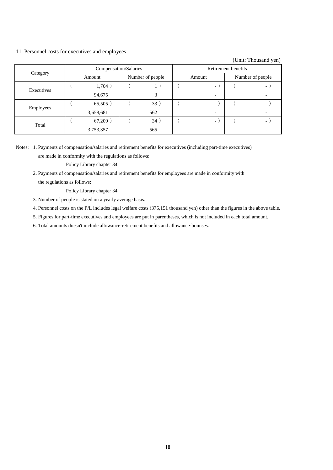### 11. Personnel costs for executives and employees

(Unit: Thousand yen)

|                      | Compensation/Salaries |            |                  |                          |        | Retirement benefits      |                  |                          |  |
|----------------------|-----------------------|------------|------------------|--------------------------|--------|--------------------------|------------------|--------------------------|--|
| Category             |                       | Amount     | Number of people |                          | Amount |                          | Number of people |                          |  |
| 1,704)<br>Executives |                       |            |                  | $\overline{\phantom{0}}$ |        | -                        |                  |                          |  |
|                      |                       | 94,675     |                  |                          |        |                          |                  |                          |  |
|                      |                       | $65,505$ ) |                  | 33)                      |        | $\overline{\phantom{0}}$ |                  | $\overline{\phantom{a}}$ |  |
| Employees            |                       | 3,658,681  |                  | 562                      |        | $\overline{\phantom{a}}$ |                  |                          |  |
| Total                |                       | $67,209$ ) |                  | 34)                      |        | $\sim$                   |                  | $\overline{\phantom{a}}$ |  |
|                      |                       | 3,753,357  |                  | 565                      |        |                          |                  |                          |  |

#### Notes: 1. Payments of compensation/salaries and retirement benefits for executives (including part-time executives)

are made in conformity with the regulations as follows:

Policy Library chapter 34

### 2. Payments of compensation/salaries and retirement benefits for employees are made in conformity with

the regulations as follows:

Policy Library chapter 34

3. Number of people is stated on a yearly average basis.

4. Personnel costs on the P/L includes legal welfare costs (375,151 thousand yen) other than the figures in the above table.

5. Figures for part-time executives and employees are put in parentheses, which is not included in each total amount.

6. Total amounts doesn't include allowance-retirement benefits and allowance-bonuses.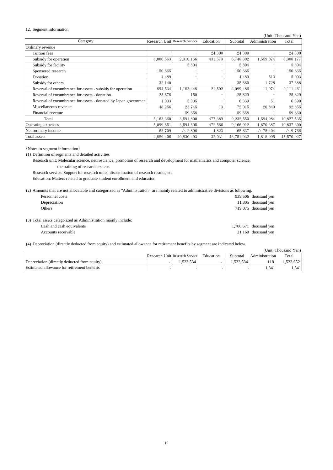#### 12. Segment information

(Unit: Thousand Yen)

| Category                                                        |           | Research Unit Research Service | Education | Subtotal   | Administration     | Total             |
|-----------------------------------------------------------------|-----------|--------------------------------|-----------|------------|--------------------|-------------------|
| Ordinary revenue                                                |           |                                |           |            |                    |                   |
| Tuition fees                                                    |           |                                | 24,300    | 24,300     |                    | 24,300            |
| Subsidy for operation                                           | 4,006,563 | 2,310,166                      | 431,573   | 6,748,302  | 1,559,874          | 8,308,177         |
| Subsidy for facility                                            |           | 5,804                          |           | 5,804      |                    | 5,804             |
| Sponsored research                                              | 150,665   |                                |           | 150,665    |                    | 150,665           |
| Donation                                                        | 4,489     | -                              |           | 4,489      | 513                | 5,003             |
| Subsidy for others                                              | 32,140    |                                |           | 35,660     | 1,728              | 37,388            |
| Reversal of encumbrance for assets - subsidy for operation      | 894,534   | 1,183,448                      | 21,502    | 2,099,486  | 11,974             | 2,111,461         |
| Reversal of encumbrance for assets - donation                   | 25,678    | 150                            |           | 25,829     |                    | 25,829            |
| Reversal of encumbrance for assets - donated by Japan governmen | 1,033     | 5,305                          |           | 6,339      | 51                 | 6,390             |
| Miscellaneous revenue                                           | 48,256    | 23,745                         | 13        | 72,015     | 20,840             | 92,855            |
| Financial revenue                                               |           | 59,658                         |           | 59,658     |                    | 59,660            |
| Total                                                           | 5,163,360 | 3,591,800                      | 477,389   | 9,232,550  | 1,594,984          | 10,827,535        |
| Operating expenses                                              | 5,099,651 | 3,594,695                      | 472,566   | 9,166,912  | 1,670,387          | 10,837,300        |
| Net ordinary income                                             | 63,709    | $\triangle 2,896$              | 4,823     | 65,637     | $\triangle$ 75,404 | $\triangle$ 9,766 |
| Total assets                                                    | 2,889,406 | 40,830,493                     | 32,031    | 43,751,932 | 1,818,995          | 45,570,927        |

(Notes to segment information)

(1) Definition of segments and detailed activities

Research unit: Molecular science, neuroscience, promotion of research and development for mathematics and computer science, the training of researchers, etc.

Research service: Support for research units, dissemination of research results, etc. Education: Matters related to graduate student enrollment and education

(2) Amounts that are not allocatable and categorized as "Administration" are mainly related to administrative divisions as following.

| Personnel costs                                                | 939,506 thousand yen     |
|----------------------------------------------------------------|--------------------------|
| Depreciation                                                   | 11,805 thousand yen      |
| Others                                                         | 719,075 thousand yen     |
| (3) Total assets categorized as Administration mainly include: |                          |
| Cash and cash equivalents                                      | $1,706,671$ thousand yen |
| Accounts receivable                                            | $21,160$ thousand yen    |

(4) Depreciation (directly deducted from equity) and estimated allowance for retirement benefits by segment are indicated below.

| ______                                       |                                       | $\sim$    |          |                |                      |
|----------------------------------------------|---------------------------------------|-----------|----------|----------------|----------------------|
|                                              |                                       |           |          |                | (Unit: Thousand Yen) |
|                                              | <b>Research Unit Research Service</b> | Education | Subtotal | Administration | Total                |
| Depreciation (directly deducted from equity) | .523,534                              |           | .523,534 | 118            | .523,652             |
| Estimated allowance for retirement benefits  |                                       |           |          | .341           | 1,341                |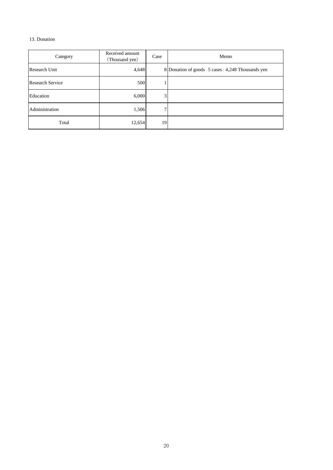## 13. Donation

| Category                | Received amount<br>(Thousand yen) | Case | Memo                                             |
|-------------------------|-----------------------------------|------|--------------------------------------------------|
| Research Unit           | 4,648                             |      | 8 Donation of goods 5 cases: 4,248 Thousands yen |
| <b>Research Service</b> | 500                               |      |                                                  |
| Education               | 6,000                             | 3    |                                                  |
| Administration          | 1,506                             |      |                                                  |
| Total                   | 12,654                            | 19   |                                                  |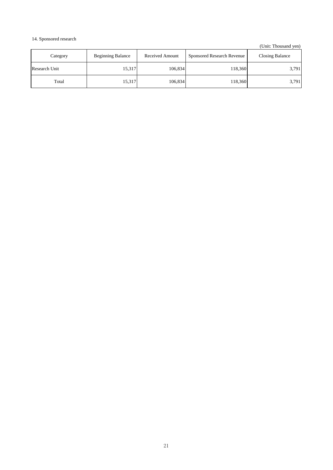## 14. Sponsored research

(Unit: Thousand yen)

| Category      | <b>Beginning Balance</b> | Received Amount | Sponsored Research Revenue | Closing Balance |
|---------------|--------------------------|-----------------|----------------------------|-----------------|
| Research Unit | 15,317                   | 106,834         | 118,360                    | 3,791           |
| Total         | 15,317                   | 106,834         | 118,360                    | 3,791           |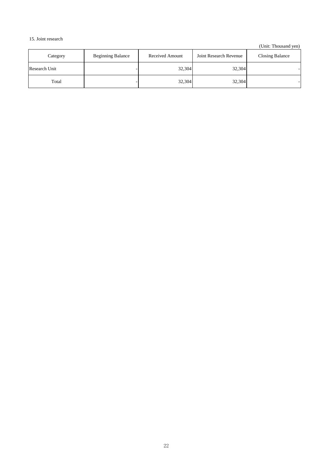## 15. Joint research

(Unit: Thousand yen)

| Category      | <b>Beginning Balance</b> | Received Amount | Joint Research Revenue | Closing Balance |
|---------------|--------------------------|-----------------|------------------------|-----------------|
| Research Unit |                          | 32,304          | 32,304                 |                 |
| Total         |                          | 32,304          | 32,304                 |                 |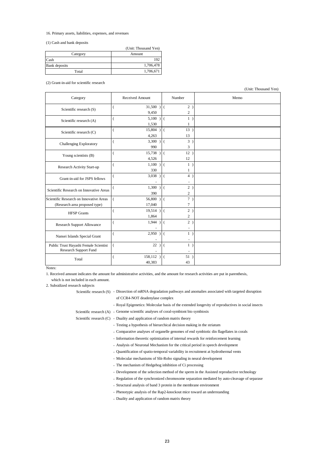### 16. Primary assets, liabilities, expenses, and revenues

(1) Cash and bank deposits

|                      | (Unit: Thousand Yen) |
|----------------------|----------------------|
| Category             | Amount               |
| Cash                 | 192                  |
| <b>Bank</b> deposits | 1,706,478            |
| Total                | 1,706,671            |

(2) Grant-in-aid for scientific research

|                                                                |                                  |                         | (Unit: Thousand Yen) |
|----------------------------------------------------------------|----------------------------------|-------------------------|----------------------|
| Category                                                       | Received Amount                  | Number                  | Memo                 |
| Scientific research (S)                                        | $31,500$ ) (<br>$\overline{(}$   | 2)                      |                      |
|                                                                | 9,450                            | $\overline{c}$          |                      |
| Scientific research (A)                                        | $5,100$ ) (<br>$\overline{(\ }$  | 1)                      |                      |
|                                                                | 1,530                            | 1                       |                      |
| Scientific research (C)                                        | 15,804<br>$\overline{(}$         | 13)<br>$\left($         |                      |
|                                                                | 4,263                            | 13                      |                      |
| <b>Challenging Exploratory</b>                                 | $3,300$ ) (                      | 3 <sup>1</sup>          |                      |
|                                                                | 990                              | 3                       |                      |
| Young scientists (B)                                           | $\overline{(}$<br>$15,738$ ) (   | 12)                     |                      |
|                                                                | 4,526                            | 12                      |                      |
| <b>Research Activity Start-up</b>                              | $\overline{(}$<br>$1,100$ ) (    | 1 <sub>0</sub>          |                      |
|                                                                | 330                              | 1                       |                      |
| Grant-in-aid for JSPS fellows                                  | $\overline{(}$<br>3,038)         | 4)<br>$\left($          |                      |
|                                                                |                                  | ÷,                      |                      |
| Scientific Research on Innovative Areas                        | 1,300                            | 2)<br>$\overline{(\ }$  |                      |
|                                                                | 390                              | $\overline{c}$          |                      |
| Scientific Research on Innovative Areas                        | $56,800$ ) (<br>$\overline{(\ }$ | 7 <sup>1</sup>          |                      |
| (Research area proposed type)                                  | 17,040                           | $\overline{7}$          |                      |
| <b>HFSP</b> Grants                                             | $\overline{(\ }$<br>$19,514$ ) ( | 2)                      |                      |
|                                                                | 1,864                            | $\overline{c}$          |                      |
| <b>Research Support Allowance</b>                              | $1,944$ ) (<br>$\overline{(}$    | 2)<br>÷,                |                      |
| Nansei Islands Special Grant                                   | 2,950<br>$\overline{(\ }$        | 1)<br>$\overline{(\ }$  |                      |
| Public Trust Hayashi Female Scientist<br>Research Support Fund | $\overline{(}$<br>22             | 1)<br>$\overline{(}$    |                      |
|                                                                | $158,112$ )<br>$\overline{(}$    | 51)<br>$\overline{(\ }$ |                      |
| Total                                                          | 40,383                           | 43                      |                      |

Notes:

1. Received amount indicates the amount for administrative activities, and the amount for research activities are put in parenthesis,

which is not included in each amount.

2. Subsidized research subjects

|  | Scientific research (S) - Dissection of mRNA degradation pathways and anomalies associated with targeted disruption |
|--|---------------------------------------------------------------------------------------------------------------------|
|  | of CCR4-NOT deadenylase complex                                                                                     |
|  | - Royal Epigenetics: Molecular basis of the extended longevity of reproductives in social insects                   |
|  | Scientific research (A) - Genome scientific analyses of coral-symbiont bio symbiosis                                |
|  | Scientific research $(C)$ - Duality and application of random matrix theory                                         |
|  | - Testing a hypothesis of hierarchical decision making in the striatum                                              |
|  | - Comparative analyses of organelle genomes of end symbiotic din flagellates in corals                              |
|  | - Information theoretic optimization of internal rewards for reinforcement learning                                 |
|  | - Analysis of Neuronal Mechanism for the critical period in speech development                                      |
|  | - Quantification of spatio-temporal variability in recruitment at hydrothermal vents                                |
|  | - Molecular mechanisms of Slit-Robo signaling in neural development                                                 |
|  | - The mechanism of Hedgehog inhibition of Ci processing                                                             |
|  | - Development of the selection method of the sperm in the Assisted reproductive technology                          |
|  | - Regulation of the synchronized chromosome separation mediated by auto-cleavage of separase                        |
|  | - Structural analysis of band 3 protein in the membrane environment                                                 |
|  | - Phenotypic analysis of the Rap2-knockout mice toward an understanding                                             |
|  | - Duality and application of random matrix theory                                                                   |
|  |                                                                                                                     |